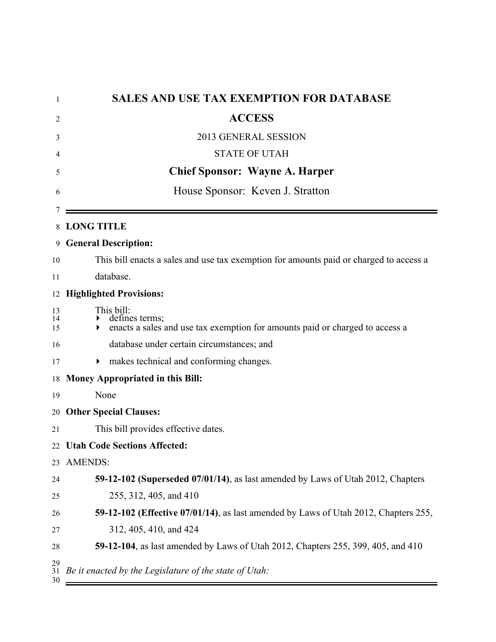| 1              | <b>SALES AND USE TAX EXEMPTION FOR DATABASE</b>                                                              |
|----------------|--------------------------------------------------------------------------------------------------------------|
| 2              | <b>ACCESS</b>                                                                                                |
| 3              | 2013 GENERAL SESSION                                                                                         |
| 4              | <b>STATE OF UTAH</b>                                                                                         |
| 5              | <b>Chief Sponsor: Wayne A. Harper</b>                                                                        |
| 6              | House Sponsor: Keven J. Stratton                                                                             |
|                |                                                                                                              |
| 8              | <b>LONG TITLE</b>                                                                                            |
| 9              | <b>General Description:</b>                                                                                  |
| 10             | This bill enacts a sales and use tax exemption for amounts paid or charged to access a                       |
| 11             | database.                                                                                                    |
| 12             | <b>Highlighted Provisions:</b>                                                                               |
| 13<br>14<br>15 | This bill:<br>defines terms;<br>enacts a sales and use tax exemption for amounts paid or charged to access a |
| 16             | database under certain circumstances; and                                                                    |
| 17             | makes technical and conforming changes.<br>▶                                                                 |
| 18             | <b>Money Appropriated in this Bill:</b>                                                                      |
| 19             | None                                                                                                         |
| 20             | <b>Other Special Clauses:</b>                                                                                |
| 21             | This bill provides effective dates.                                                                          |
|                | 22 Utah Code Sections Affected:                                                                              |
| 23             | <b>AMENDS:</b>                                                                                               |
| 24             | 59-12-102 (Superseded 07/01/14), as last amended by Laws of Utah 2012, Chapters                              |
| 25             | 255, 312, 405, and 410                                                                                       |
| 26             | 59-12-102 (Effective 07/01/14), as last amended by Laws of Utah 2012, Chapters 255,                          |
| 27             | 312, 405, 410, and 424                                                                                       |
| 28             | 59-12-104, as last amended by Laws of Utah 2012, Chapters 255, 399, 405, and 410                             |
| 29<br>31<br>30 | Be it enacted by the Legislature of the state of Utah:                                                       |